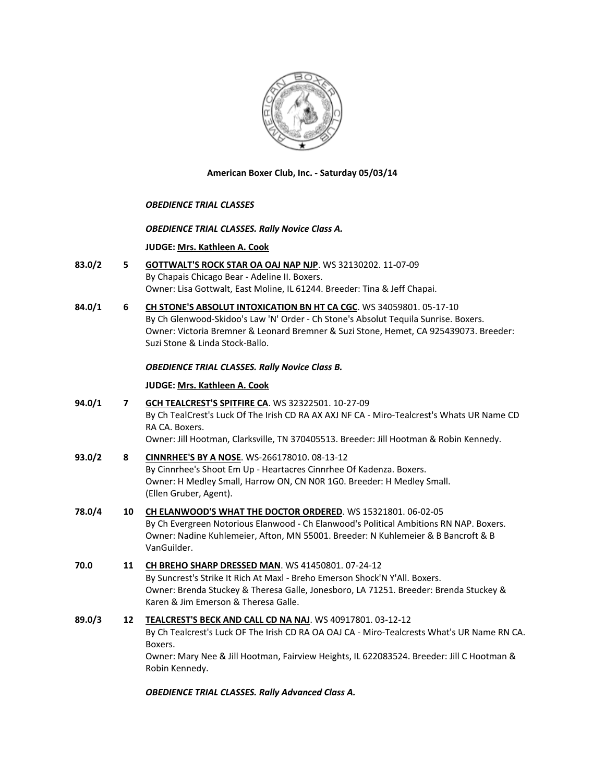

**American Boxer Club, Inc. - Saturday 05/03/14** 

## *OBEDIENCE TRIAL CLASSES*

#### *OBEDIENCE TRIAL CLASSES. Rally Novice Class A.*

#### **JUDGE: [Mrs. Kathleen A. Cook](http://www.infodog.com/judges/37193/juddat.htm)**

- **83.0/2 5 [GOTTWALT'S ROCK STAR OA OAJ NAP NJP](http://www.infodog.com/files/bdogrsl1.prg;makc=WS%2032130202;mdog=Gottwalt_s_Rock_Star_OA_OAJ_NAP_NJP;wins=all)**. WS 32130202. 11-07-09 By Chapais Chicago Bear - Adeline II. Boxers. Owner: Lisa Gottwalt, East Moline, IL 61244. Breeder: Tina & Jeff Chapai.
- **84.0/1 6 [CH STONE'S ABSOLUT INTOXICATION BN HT CA CGC](http://www.infodog.com/files/bdogrsl1.prg;makc=WS%2034059801;mdog=Ch_Stone_s_Absolut_Intoxication_BN_HT_CA_CGC;wins=all)**. WS 34059801. 05-17-10 By Ch Glenwood-Skidoo's Law 'N' Order - Ch Stone's Absolut Tequila Sunrise. Boxers. Owner: Victoria Bremner & Leonard Bremner & Suzi Stone, Hemet, CA 925439073. Breeder: Suzi Stone & Linda Stock-Ballo.

## *OBEDIENCE TRIAL CLASSES. Rally Novice Class B.*

#### **JUDGE: [Mrs. Kathleen A. Cook](http://www.infodog.com/judges/37193/juddat.htm)**

**94.0/1 7 [GCH TEALCREST'S SPITFIRE CA](http://www.infodog.com/files/bdogrsl1.prg;makc=WS%2032322501;mdog=GCH_TealCrest_s_Spitfire_CA;wins=all)**. WS 32322501. 10-27-09 By Ch TealCrest's Luck Of The Irish CD RA AX AXJ NF CA - Miro-Tealcrest's Whats UR Name CD RA CA. Boxers. Owner: Jill Hootman, Clarksville, TN 370405513. Breeder: Jill Hootman & Robin Kennedy.

| 93.0/2 | 8  | <b>CINNRHEE'S BY A NOSE.</b> WS-266178010. 08-13-12<br>By Cinnrhee's Shoot Em Up - Heartacres Cinnrhee Of Kadenza. Boxers.<br>Owner: H Medley Small, Harrow ON, CN NOR 1GO. Breeder: H Medley Small.<br>(Ellen Gruber, Agent).                             |
|--------|----|------------------------------------------------------------------------------------------------------------------------------------------------------------------------------------------------------------------------------------------------------------|
| 78.0/4 | 10 | CH ELANWOOD'S WHAT THE DOCTOR ORDERED. WS 15321801. 06-02-05<br>By Ch Evergreen Notorious Elanwood - Ch Elanwood's Political Ambitions RN NAP. Boxers.<br>Owner: Nadine Kuhlemeier, Afton, MN 55001. Breeder: N Kuhlemeier & B Bancroft & B<br>VanGuilder. |

# **70.0 11 [CH BREHO SHARP DRESSED MAN](http://www.infodog.com/files/bdogrsl1.prg;makc=WS%2041450801;mdog=Ch_Breho_Sharp_Dressed_Man;wins=all)**. WS 41450801. 07-24-12 By Suncrest's Strike It Rich At Maxl - Breho Emerson Shock'N Y'All. Boxers. Owner: Brenda Stuckey & Theresa Galle, Jonesboro, LA 71251. Breeder: Brenda Stuckey & Karen & Jim Emerson & Theresa Galle.

# **89.0/3 12 [TEALCREST'S BECK AND CALL CD NA NAJ](http://www.infodog.com/files/bdogrsl1.prg;makc=WS%2040917801;mdog=Tealcrest_s_Beck_And_Call_CD_NA_NAJ;wins=all)**. WS 40917801. 03-12-12 By Ch Tealcrest's Luck OF The Irish CD RA OA OAJ CA - Miro-Tealcrests What's UR Name RN CA. Boxers. Owner: Mary Nee & Jill Hootman, Fairview Heights, IL 622083524. Breeder: Jill C Hootman & Robin Kennedy.

*OBEDIENCE TRIAL CLASSES. Rally Advanced Class A.*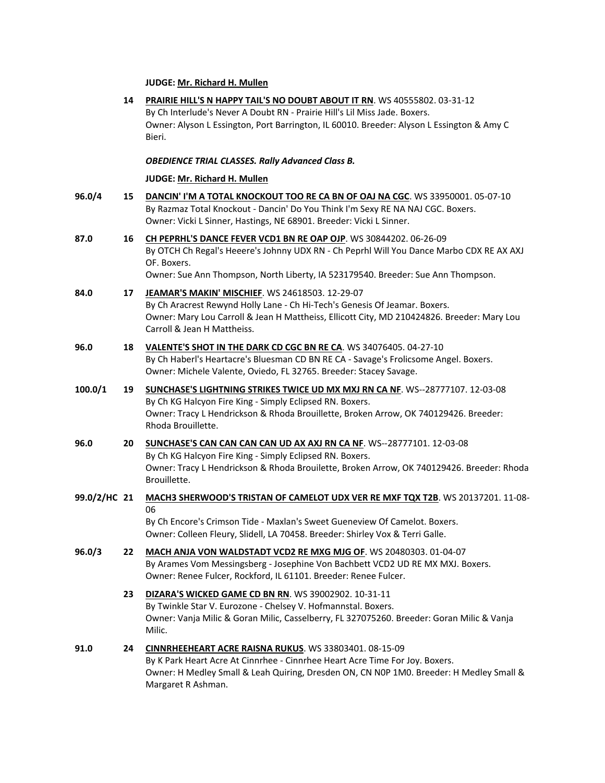#### **JUDGE: [Mr. Richard H. Mullen](http://www.infodog.com/judges/3052/juddat.htm)**

- **14 [PRAIRIE HILL'S N HAPPY TAIL'S NO DOUBT ABOUT IT RN](http://www.infodog.com/files/bdogrsl1.prg;makc=WS%2040555802;mdog=Prairie_Hill_s_N_Happy_Tail_s_No_Doubt_About_It_RN;wins=all)**. WS 40555802. 03-31-12 By Ch Interlude's Never A Doubt RN - Prairie Hill's Lil Miss Jade. Boxers. Owner: Alyson L Essington, Port Barrington, IL 60010. Breeder: Alyson L Essington & Amy C Bieri. *OBEDIENCE TRIAL CLASSES. Rally Advanced Class B.* **JUDGE: [Mr. Richard H. Mullen](http://www.infodog.com/judges/3052/juddat.htm) 96.0/4 15 [DANCIN' I'M A TOTAL KNOCKOUT TOO RE CA BN OF OAJ NA CGC](http://www.infodog.com/files/bdogrsl1.prg;makc=WS%2033950001;mdog=Dancin__I_m_A_Total_Knockout_Too_RE_CA_BN_OF_OAJ_NA_CGC;wins=all)**. WS 33950001. 05-07-10 By Razmaz Total Knockout - Dancin' Do You Think I'm Sexy RE NA NAJ CGC. Boxers. Owner: Vicki L Sinner, Hastings, NE 68901. Breeder: Vicki L Sinner. **87.0 16 [CH PEPRHL'S DANCE FEVER VCD1 BN RE OAP OJP](http://www.infodog.com/files/bdogrsl1.prg;makc=WS%2030844202;mdog=Ch_Peprhl_s_Dance_Fever_VCD1_BN_RE_OAP_OJP;wins=all)**. WS 30844202. 06-26-09 By OTCH Ch Regal's Heeere's Johnny UDX RN - Ch Peprhl Will You Dance Marbo CDX RE AX AXJ OF. Boxers. Owner: Sue Ann Thompson, North Liberty, IA 523179540. Breeder: Sue Ann Thompson. **84.0 17 [JEAMAR'S MAKIN' MISCHIEF](http://www.infodog.com/files/bdogrsl1.prg;makc=WS%2024618503;mdog=Jeamar_s_Makin__Mischief;wins=all)**. WS 24618503. 12-29-07 By Ch Aracrest Rewynd Holly Lane - Ch Hi-Tech's Genesis Of Jeamar. Boxers. Owner: Mary Lou Carroll & Jean H Mattheiss, Ellicott City, MD 210424826. Breeder: Mary Lou Carroll & Jean H Mattheiss. **96.0 18 [VALENTE'S SHOT IN THE DARK CD CGC BN RE CA](http://www.infodog.com/files/bdogrsl1.prg;makc=WS%2034076405;mdog=Valente_s_Shot_In_The_Dark_CD_CGC_BN_RE_CA;wins=all)**. WS 34076405. 04-27-10 By Ch Haberl's Heartacre's Bluesman CD BN RE CA - Savage's Frolicsome Angel. Boxers. Owner: Michele Valente, Oviedo, FL 32765. Breeder: Stacey Savage. **100.0/1 19 [SUNCHASE'S LIGHTNING STRIKES TWICE UD MX MXJ RN CA NF](http://www.infodog.com/files/bdogrsl1.prg;makc=WS--28777107;mdog=Sunchase_s_Lightning_Strikes_Twice_UD_MX_MXJ_RN_CA_NF;wins=all)**. WS--28777107. 12-03-08 By Ch KG Halcyon Fire King - Simply Eclipsed RN. Boxers. Owner: Tracy L Hendrickson & Rhoda Brouillette, Broken Arrow, OK 740129426. Breeder: Rhoda Brouillette. **96.0 20 [SUNCHASE'S CAN CAN CAN CAN UD AX AXJ RN CA NF](http://www.infodog.com/files/bdogrsl1.prg;makc=WS--28777101;mdog=Sunchase_s_Can_Can_Can_Can_UD_AX_AXJ_RN_CA_NF;wins=all)**. WS--28777101. 12-03-08 By Ch KG Halcyon Fire King - Simply Eclipsed RN. Boxers. Owner: Tracy L Hendrickson & Rhoda Brouilette, Broken Arrow, OK 740129426. Breeder: Rhoda Brouillette. **99.0/2/HC 21 [MACH3 SHERWOOD'S TRISTAN OF CAMELOT UDX VER RE MXF TQX T2B](http://www.infodog.com/files/bdogrsl1.prg;makc=WS%2020137201;mdog=MACH3_Sherwood_s_Tristan_Of_Camelot_UDX_VER_RE_MXF_TQX_T2B;wins=all)**. WS 20137201. 11-08- 06 By Ch Encore's Crimson Tide - Maxlan's Sweet Gueneview Of Camelot. Boxers. Owner: Colleen Fleury, Slidell, LA 70458. Breeder: Shirley Vox & Terri Galle. **96.0/3 22 [MACH ANJA VON WALDSTADT VCD2 RE MXG MJG OF](http://www.infodog.com/files/bdogrsl1.prg;makc=WS%2020480303;mdog=MACH_Anja_Von_Waldstadt_VCD2_RE_MXG_MJG_OF;wins=all)**. WS 20480303. 01-04-07 By Arames Vom Messingsberg - Josephine Von Bachbett VCD2 UD RE MX MXJ. Boxers. Owner: Renee Fulcer, Rockford, IL 61101. Breeder: Renee Fulcer. **23 [DIZARA'S WICKED GAME CD BN RN](http://www.infodog.com/files/bdogrsl1.prg;makc=WS%2039002902;mdog=Dizara_s_Wicked_Game_CD_BN_RN;wins=all)**. WS 39002902. 10-31-11 By Twinkle Star V. Eurozone - Chelsey V. Hofmannstal. Boxers. Owner: Vanja Milic & Goran Milic, Casselberry, FL 327075260. Breeder: Goran Milic & Vanja Milic. **91.0 24 [CINNRHEEHEART ACRE RAISNA RUKUS](http://www.infodog.com/files/bdogrsl1.prg;makc=WS%2033803401;mdog=Cinnrheeheart_Acre_Raisna_Rukus;wins=all)**. WS 33803401. 08-15-09 By K Park Heart Acre At Cinnrhee - Cinnrhee Heart Acre Time For Joy. Boxers. Owner: H Medley Small & Leah Quiring, Dresden ON, CN N0P 1M0. Breeder: H Medley Small &
	- Margaret R Ashman.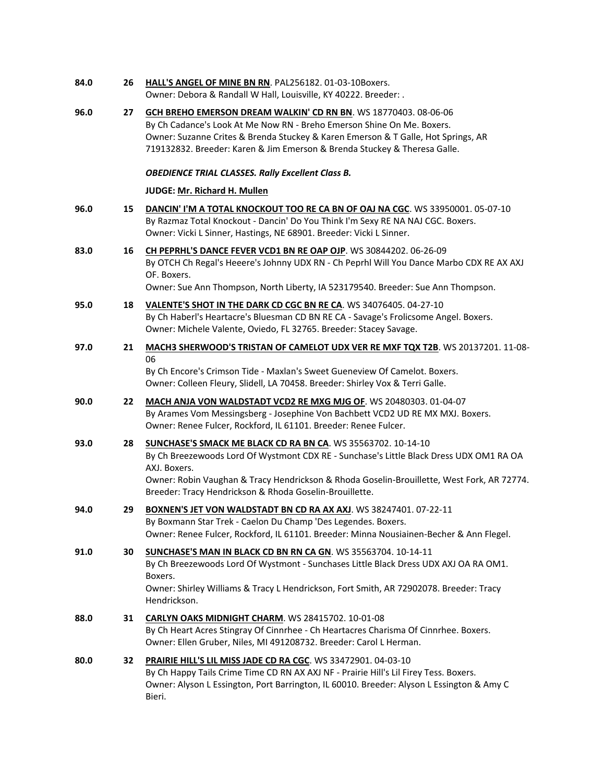| 84.0 | 26 | HALL'S ANGEL OF MINE BN RN. PAL256182. 01-03-10Boxers.<br>Owner: Debora & Randall W Hall, Louisville, KY 40222. Breeder: .                                                                                                                                                                                                       |
|------|----|----------------------------------------------------------------------------------------------------------------------------------------------------------------------------------------------------------------------------------------------------------------------------------------------------------------------------------|
| 96.0 | 27 | GCH BREHO EMERSON DREAM WALKIN' CD RN BN. WS 18770403.08-06-06<br>By Ch Cadance's Look At Me Now RN - Breho Emerson Shine On Me. Boxers.<br>Owner: Suzanne Crites & Brenda Stuckey & Karen Emerson & T Galle, Hot Springs, AR<br>719132832. Breeder: Karen & Jim Emerson & Brenda Stuckey & Theresa Galle.                       |
|      |    | <b>OBEDIENCE TRIAL CLASSES. Rally Excellent Class B.</b>                                                                                                                                                                                                                                                                         |
|      |    | JUDGE: Mr. Richard H. Mullen                                                                                                                                                                                                                                                                                                     |
| 96.0 | 15 | DANCIN' I'M A TOTAL KNOCKOUT TOO RE CA BN OF OAJ NA CGC. WS 33950001. 05-07-10<br>By Razmaz Total Knockout - Dancin' Do You Think I'm Sexy RE NA NAJ CGC. Boxers.<br>Owner: Vicki L Sinner, Hastings, NE 68901. Breeder: Vicki L Sinner.                                                                                         |
| 83.0 | 16 | CH PEPRHL'S DANCE FEVER VCD1 BN RE OAP OJP. WS 30844202. 06-26-09<br>By OTCH Ch Regal's Heeere's Johnny UDX RN - Ch Peprhl Will You Dance Marbo CDX RE AX AXJ<br>OF. Boxers.<br>Owner: Sue Ann Thompson, North Liberty, IA 523179540. Breeder: Sue Ann Thompson.                                                                 |
| 95.0 | 18 | VALENTE'S SHOT IN THE DARK CD CGC BN RE CA. WS 34076405. 04-27-10<br>By Ch Haberl's Heartacre's Bluesman CD BN RE CA - Savage's Frolicsome Angel. Boxers.<br>Owner: Michele Valente, Oviedo, FL 32765. Breeder: Stacey Savage.                                                                                                   |
| 97.0 | 21 | MACH3 SHERWOOD'S TRISTAN OF CAMELOT UDX VER RE MXF TQX T2B. WS 20137201. 11-08-<br>06<br>By Ch Encore's Crimson Tide - Maxlan's Sweet Gueneview Of Camelot. Boxers.<br>Owner: Colleen Fleury, Slidell, LA 70458. Breeder: Shirley Vox & Terri Galle.                                                                             |
| 90.0 | 22 | MACH ANJA VON WALDSTADT VCD2 RE MXG MJG OF. WS 20480303. 01-04-07<br>By Arames Vom Messingsberg - Josephine Von Bachbett VCD2 UD RE MX MXJ. Boxers.<br>Owner: Renee Fulcer, Rockford, IL 61101. Breeder: Renee Fulcer.                                                                                                           |
| 93.0 | 28 | SUNCHASE'S SMACK ME BLACK CD RA BN CA. WS 35563702. 10-14-10<br>By Ch Breezewoods Lord Of Wystmont CDX RE - Sunchase's Little Black Dress UDX OM1 RA OA<br>AXJ. Boxers.<br>Owner: Robin Vaughan & Tracy Hendrickson & Rhoda Goselin-Brouillette, West Fork, AR 72774.<br>Breeder: Tracy Hendrickson & Rhoda Goselin-Brouillette. |
| 94.0 | 29 | BOXNEN'S JET VON WALDSTADT BN CD RA AX AXJ. WS 38247401. 07-22-11<br>By Boxmann Star Trek - Caelon Du Champ 'Des Legendes. Boxers.<br>Owner: Renee Fulcer, Rockford, IL 61101. Breeder: Minna Nousiainen-Becher & Ann Flegel.                                                                                                    |
| 91.0 | 30 | <b>SUNCHASE'S MAN IN BLACK CD BN RN CA GN. WS 35563704. 10-14-11</b><br>By Ch Breezewoods Lord Of Wystmont - Sunchases Little Black Dress UDX AXJ OA RA OM1.<br>Boxers.<br>Owner: Shirley Williams & Tracy L Hendrickson, Fort Smith, AR 72902078. Breeder: Tracy<br>Hendrickson.                                                |
| 88.0 | 31 | CARLYN OAKS MIDNIGHT CHARM. WS 28415702. 10-01-08<br>By Ch Heart Acres Stingray Of Cinnrhee - Ch Heartacres Charisma Of Cinnrhee. Boxers.<br>Owner: Ellen Gruber, Niles, MI 491208732. Breeder: Carol L Herman.                                                                                                                  |
| 80.0 | 32 | PRAIRIE HILL'S LIL MISS JADE CD RA CGC. WS 33472901. 04-03-10<br>By Ch Happy Tails Crime Time CD RN AX AXJ NF - Prairie Hill's Lil Firey Tess. Boxers.<br>Owner: Alyson L Essington, Port Barrington, IL 60010. Breeder: Alyson L Essington & Amy C<br>Bieri.                                                                    |